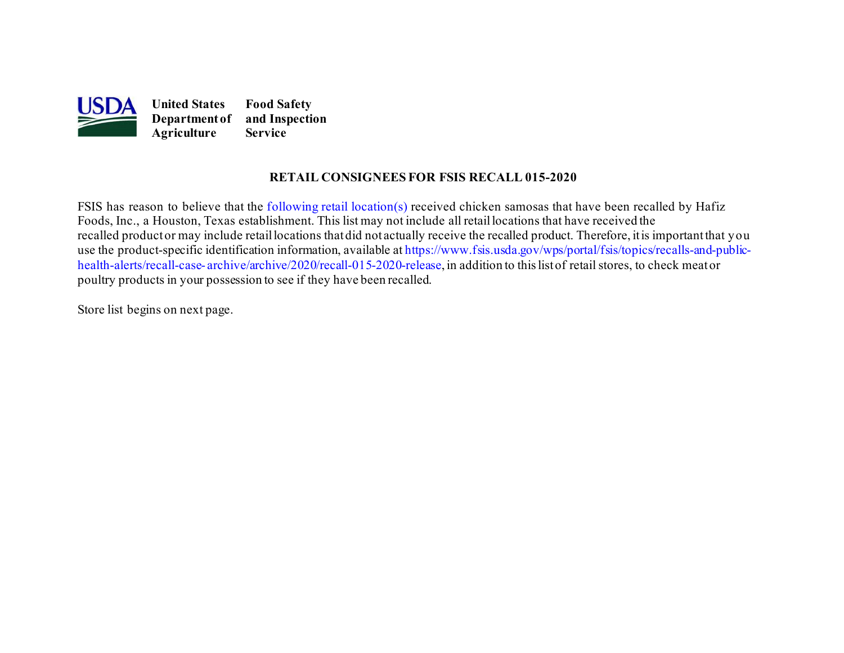

### **RETAIL CONSIGNEES FOR FSIS RECALL 015-2020**

 Foods, Inc., a Houston, Texas establishment. This list may not include all retaillocations that have received the recalled productor may include retaillocations thatdid not actually receive the recalled product. Therefore, itis importantthat you [health-alerts/recall-case-](https://www.fsis.usda.gov/wps/portal/fsis/topics/recalls-and-public-health-alerts/recall-case-archive/archive/2020/recall-012-2020-release) [archive/archive/2020/recall-015-2020-release,](https://www.fsis.usda.gov/wps/portal/fsis/topics/recalls-and-public-health-alerts/recall-case-archive/archive/2020/recall-015-2020-release) in addition to this list of retail stores, to check meator FSIS has reason to believe that the [following retail location\(s\)](#page-1-0) received chicken samosas that have been recalled by Hafiz use the product-specific identification information, available a[t https://www.fsis.usda.gov/wps/portal/fsis/topics/recalls-and-public](https://www.fsis.usda.gov/wps/portal/fsis/topics/recalls-and-public-health-alerts/recall-case-archive/archive/2020/recall-015-2020-release)poultry products in your possession to see if they have been recalled.

Store list begins on [next page.](#page-1-0)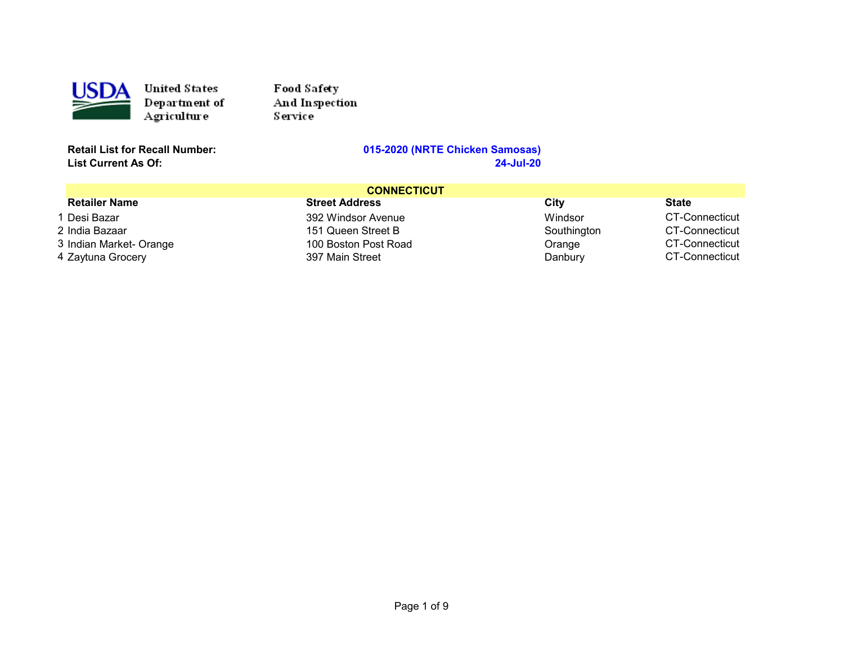<span id="page-1-0"></span>

Food Safety And Inspection Service

**List Current As Of:** 

| <b>CONNECTICUT</b>      |                       |             |                |
|-------------------------|-----------------------|-------------|----------------|
| <b>Retailer Name</b>    | <b>Street Address</b> | City        | <b>State</b>   |
| 1 Desi Bazar            | 392 Windsor Avenue    | Windsor     | CT-Connecticut |
| 2 India Bazaar          | 151 Queen Street B    | Southington | CT-Connecticut |
| 3 Indian Market- Orange | 100 Boston Post Road  | Orange      | CT-Connecticut |
| 4 Zaytuna Grocery       | 397 Main Street       | Danbury     | CT-Connecticut |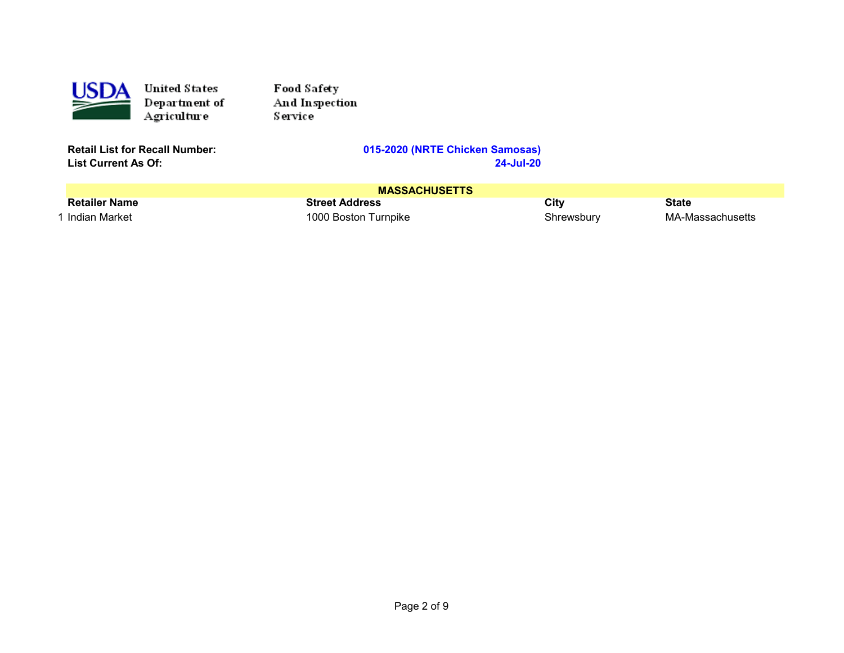

Food Safety And Inspection Service

**List Current As Of:** 

| <b>MASSACHUSETTS</b> |                       |            |                  |
|----------------------|-----------------------|------------|------------------|
| <b>Retailer Name</b> | <b>Street Address</b> | City       | <b>State</b>     |
| 1 Indian Market      | 1000 Boston Turnpike  | Shrewsbury | MA-Massachusetts |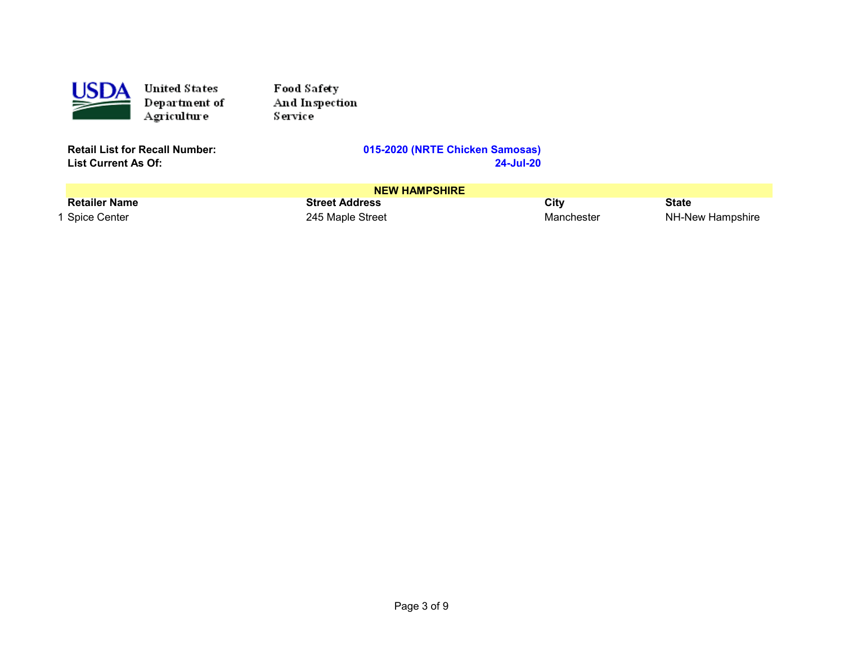

Food Safety And Inspection Service

**List Current As Of:** 

| <b>NEW HAMPSHIRE</b> |                       |            |                  |
|----------------------|-----------------------|------------|------------------|
| <b>Retailer Name</b> | <b>Street Address</b> | City       | State            |
| 1 Spice Center       | 245 Maple Street      | Manchester | NH-New Hampshire |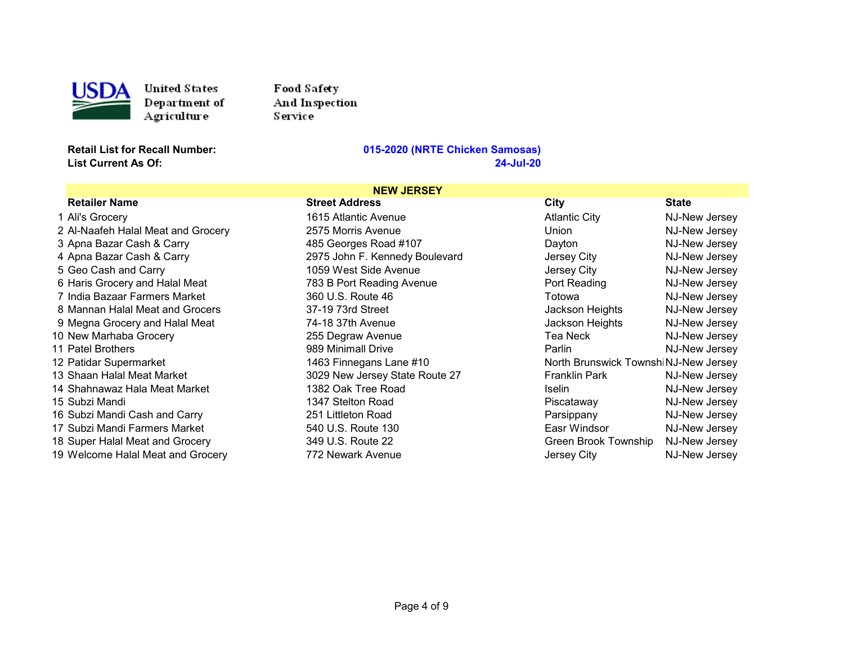

Food Safety And Inspection Service

**List Current As Of:** 

| <b>NEW JERSEY</b>                  |                                |                                       |               |
|------------------------------------|--------------------------------|---------------------------------------|---------------|
| <b>Retailer Name</b>               | <b>Street Address</b>          | City                                  | <b>State</b>  |
| 1 Ali's Grocery                    | 1615 Atlantic Avenue           | <b>Atlantic City</b>                  | NJ-New Jersey |
| 2 Al-Naafeh Halal Meat and Grocery | 2575 Morris Avenue             | Union                                 | NJ-New Jersey |
| 3 Apna Bazar Cash & Carry          | 485 Georges Road #107          | Dayton                                | NJ-New Jersey |
| 4 Apna Bazar Cash & Carry          | 2975 John F. Kennedy Boulevard | Jersey City                           | NJ-New Jersey |
| 5 Geo Cash and Carry               | 1059 West Side Avenue          | Jersey City                           | NJ-New Jersey |
| 6 Haris Grocery and Halal Meat     | 783 B Port Reading Avenue      | Port Reading                          | NJ-New Jersey |
| 7 India Bazaar Farmers Market      | 360 U.S. Route 46              | Totowa                                | NJ-New Jersey |
| 8 Mannan Halal Meat and Grocers    | 37-19 73rd Street              | Jackson Heights                       | NJ-New Jersey |
| 9 Megna Grocery and Halal Meat     | 74-18 37th Avenue              | Jackson Heights                       | NJ-New Jersey |
| 10 New Marhaba Grocery             | 255 Degraw Avenue              | Tea Neck                              | NJ-New Jersey |
| 11 Patel Brothers                  | 989 Minimall Drive             | Parlin                                | NJ-New Jersey |
| 12 Patidar Supermarket             | 1463 Finnegans Lane #10        | North Brunswick Townshi NJ-New Jersey |               |
| 13 Shaan Halal Meat Market         | 3029 New Jersey State Route 27 | <b>Franklin Park</b>                  | NJ-New Jersey |
| 14 Shahnawaz Hala Meat Market      | 1382 Oak Tree Road             | <b>Iselin</b>                         | NJ-New Jersey |
| 15 Subzi Mandi                     | 1347 Stelton Road              | Piscataway                            | NJ-New Jersey |
| 16 Subzi Mandi Cash and Carry      | 251 Littleton Road             | Parsippany                            | NJ-New Jersey |
| 17 Subzi Mandi Farmers Market      | 540 U.S. Route 130             | Easr Windsor                          | NJ-New Jersey |
| 18 Super Halal Meat and Grocery    | 349 U.S. Route 22              | Green Brook Township                  | NJ-New Jersey |
| 19 Welcome Halal Meat and Grocery  | 772 Newark Avenue              | Jersey City                           | NJ-New Jersey |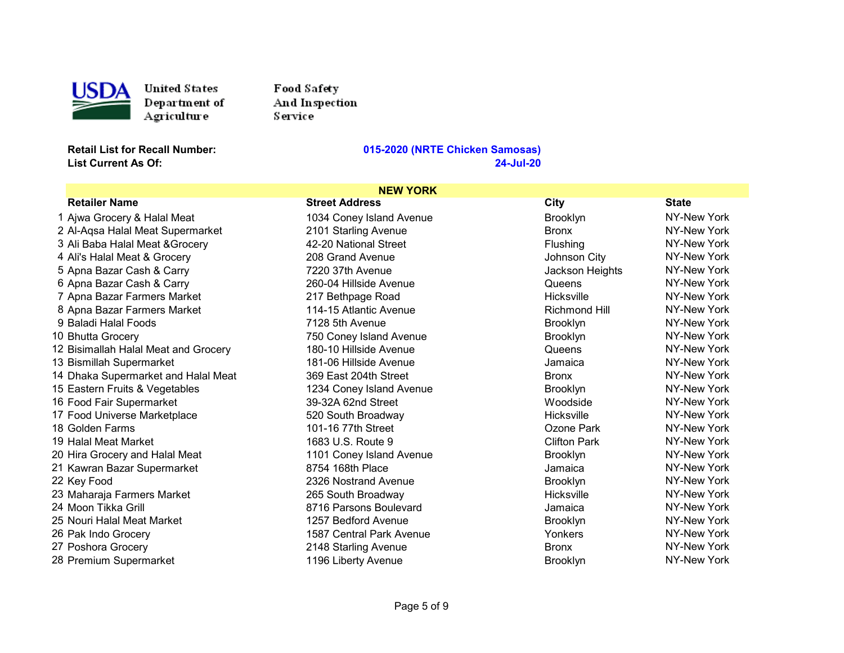

Food Safety And Inspection Service

**List Current As Of:** 

| <b>NEW YORK</b> |                                      |                          |                     |              |
|-----------------|--------------------------------------|--------------------------|---------------------|--------------|
|                 | <b>Retailer Name</b>                 | <b>Street Address</b>    | <b>City</b>         | <b>State</b> |
|                 | 1 Ajwa Grocery & Halal Meat          | 1034 Coney Island Avenue | <b>Brooklyn</b>     | NY-New York  |
|                 | 2 Al-Aqsa Halal Meat Supermarket     | 2101 Starling Avenue     | <b>Bronx</b>        | NY-New York  |
|                 | 3 Ali Baba Halal Meat & Grocery      | 42-20 National Street    | Flushing            | NY-New York  |
|                 | 4 Ali's Halal Meat & Grocery         | 208 Grand Avenue         | Johnson City        | NY-New York  |
|                 | 5 Apna Bazar Cash & Carry            | 7220 37th Avenue         | Jackson Heights     | NY-New York  |
|                 | 6 Apna Bazar Cash & Carry            | 260-04 Hillside Avenue   | Queens              | NY-New York  |
|                 | 7 Apna Bazar Farmers Market          | 217 Bethpage Road        | <b>Hicksville</b>   | NY-New York  |
|                 | 8 Apna Bazar Farmers Market          | 114-15 Atlantic Avenue   | Richmond Hill       | NY-New York  |
|                 | 9 Baladi Halal Foods                 | 7128 5th Avenue          | <b>Brooklyn</b>     | NY-New York  |
|                 | 10 Bhutta Grocery                    | 750 Coney Island Avenue  | <b>Brooklyn</b>     | NY-New York  |
|                 | 12 Bisimallah Halal Meat and Grocery | 180-10 Hillside Avenue   | Queens              | NY-New York  |
|                 | 13 Bismillah Supermarket             | 181-06 Hillside Avenue   | Jamaica             | NY-New York  |
|                 | 14 Dhaka Supermarket and Halal Meat  | 369 East 204th Street    | <b>Bronx</b>        | NY-New York  |
|                 | 15 Eastern Fruits & Vegetables       | 1234 Coney Island Avenue | <b>Brooklyn</b>     | NY-New York  |
|                 | 16 Food Fair Supermarket             | 39-32A 62nd Street       | Woodside            | NY-New York  |
|                 | 17 Food Universe Marketplace         | 520 South Broadway       | Hicksville          | NY-New York  |
|                 | 18 Golden Farms                      | 101-16 77th Street       | Ozone Park          | NY-New York  |
|                 | 19 Halal Meat Market                 | 1683 U.S. Route 9        | <b>Clifton Park</b> | NY-New York  |
|                 | 20 Hira Grocery and Halal Meat       | 1101 Coney Island Avenue | <b>Brooklyn</b>     | NY-New York  |
|                 | 21 Kawran Bazar Supermarket          | 8754 168th Place         | Jamaica             | NY-New York  |
|                 | 22 Key Food                          | 2326 Nostrand Avenue     | <b>Brooklyn</b>     | NY-New York  |
|                 | 23 Maharaja Farmers Market           | 265 South Broadway       | Hicksville          | NY-New York  |
|                 | 24 Moon Tikka Grill                  | 8716 Parsons Boulevard   | Jamaica             | NY-New York  |
|                 | 25 Nouri Halal Meat Market           | 1257 Bedford Avenue      | <b>Brooklyn</b>     | NY-New York  |
|                 | 26 Pak Indo Grocery                  | 1587 Central Park Avenue | Yonkers             | NY-New York  |
|                 | 27 Poshora Grocery                   | 2148 Starling Avenue     | <b>Bronx</b>        | NY-New York  |
|                 | 28 Premium Supermarket               | 1196 Liberty Avenue      | <b>Brooklyn</b>     | NY-New York  |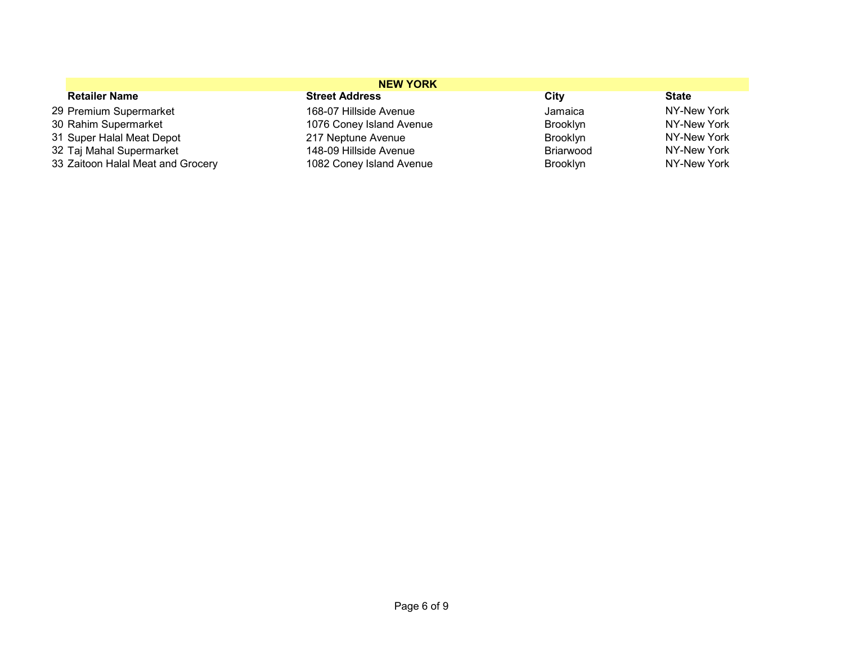| <b>NEW YORK</b>                   |                          |                 |              |
|-----------------------------------|--------------------------|-----------------|--------------|
| <b>Retailer Name</b>              | <b>Street Address</b>    | City            | <b>State</b> |
| 29 Premium Supermarket            | 168-07 Hillside Avenue   | Jamaica         | NY-New York  |
| 30 Rahim Supermarket              | 1076 Coney Island Avenue | <b>Brooklyn</b> | NY-New York  |
| 31 Super Halal Meat Depot         | 217 Neptune Avenue       | <b>Brooklyn</b> | NY-New York  |
| 32 Taj Mahal Supermarket          | 148-09 Hillside Avenue   | Briarwood       | NY-New York  |
| 33 Zaitoon Halal Meat and Grocery | 1082 Coney Island Avenue | Brooklyn        | NY-New York  |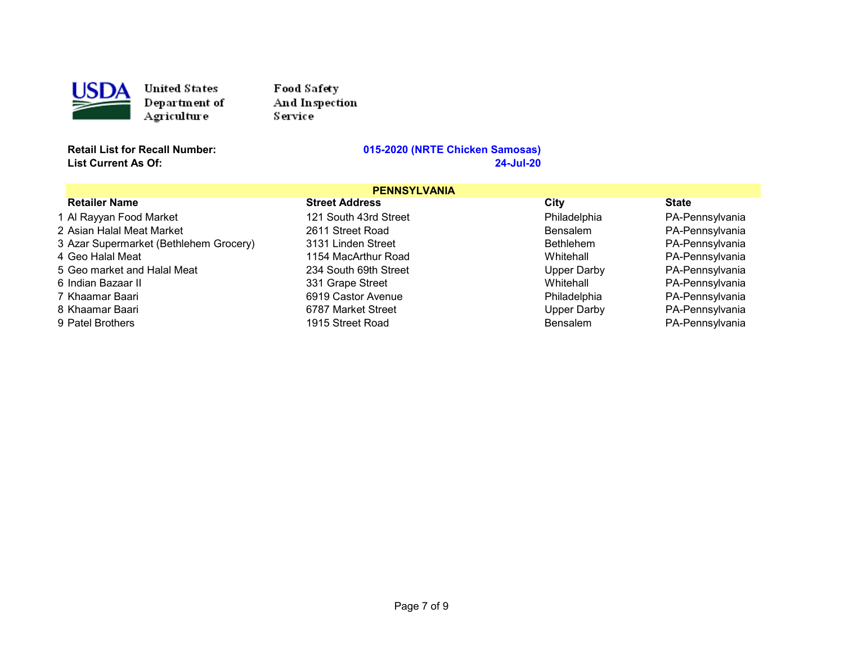

Food Safety And Insp ection Service

#### **Retail List for Recall Number: 015-2020 (NRTE Chicken Samosas) List Current As Of: 24-Jul-20**

### **PENNSYLVANIA**<br>Street Address Retailer Name Street Address City State 1 Al Rayyan Food Market 121 South 43rd Street Philadelphia PA-Pennsylvania 2 Asian Halal Meat Market 2611 Street Road Bensalem PA-Pennsylvania 3 Azar Supermarket (Bethlehem Grocery) 3131 Linden Street Bethlehem Bethlehem 4 Geo Halal Meat 1154 MacArthur Road Whitehall PA-Pennsylvania 5 Geo market and Halal Meat 234 South 69th Street Francylvania Upper Darby 6 Indian Bazaar II 331 Grape Street Whitehall PA-Pennsylvania PA-Pennsylvania 8 Khaamar Baari 6787 Market Street Upper Darby PA-Pennsylvania 9 Patel Brothers **1915 Street Road** Bensalem Bensalem PA-Pennsylvania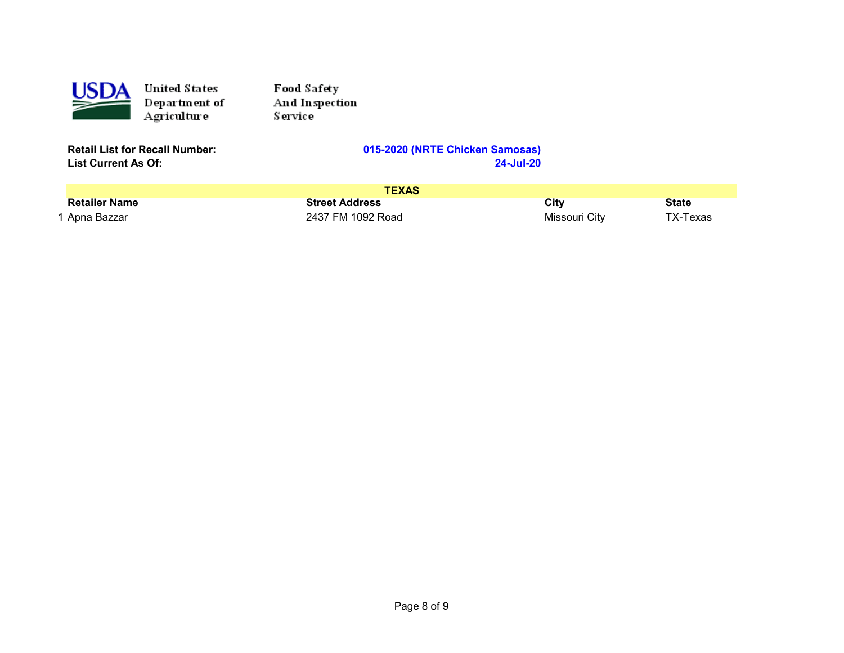

Food Safety And Inspection Service

**List Current As Of:** 

| <b>TEXAS</b>         |                       |               |              |
|----------------------|-----------------------|---------------|--------------|
| <b>Retailer Name</b> | <b>Street Address</b> | Citv          | <b>State</b> |
| 1 Apna Bazzar        | 2437 FM 1092 Road     | Missouri City | TX-Texas     |